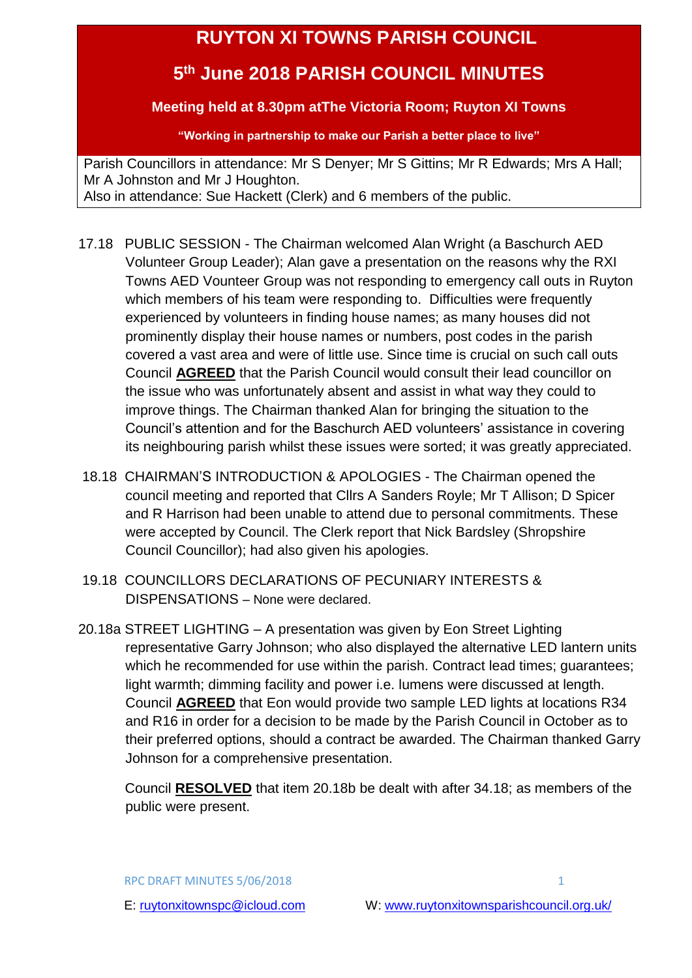# **RUYTON XI TOWNS PARISH COUNCIL**

## <span id="page-0-0"></span>**5 th June 2018 PARISH COUNCIL MINUTES**

## **Meeting held at 8.30pm atThe Victoria Room; Ruyton XI Towns**

**"Working in partnership to make our Parish a better place to live"**

Parish Councillors in attendance: Mr S Denyer; Mr S Gittins; Mr R Edwards; Mrs A Hall; Mr A Johnston and Mr J Houghton. Also in attendance: Sue Hackett (Clerk) and 6 members of the public.

- 17.18 PUBLIC SESSION The Chairman welcomed Alan Wright (a Baschurch AED Volunteer Group Leader); Alan gave a presentation on the reasons why the RXI Towns AED Vounteer Group was not responding to emergency call outs in Ruyton which members of his team were responding to. Difficulties were frequently experienced by volunteers in finding house names; as many houses did not prominently display their house names or numbers, post codes in the parish covered a vast area and were of little use. Since time is crucial on such call outs Council **AGREED** that the Parish Council would consult their lead councillor on the issue who was unfortunately absent and assist in what way they could to improve things. The Chairman thanked Alan for bringing the situation to the Council's attention and for the Baschurch AED volunteers' assistance in covering its neighbouring parish whilst these issues were sorted; it was greatly appreciated.
- 18.18 CHAIRMAN'S INTRODUCTION & APOLOGIES The Chairman opened the council meeting and reported that Cllrs A Sanders Royle; Mr T Allison; D Spicer and R Harrison had been unable to attend due to personal commitments. These were accepted by Council. The Clerk report that Nick Bardsley (Shropshire Council Councillor); had also given his apologies.
- 19.18 COUNCILLORS DECLARATIONS OF PECUNIARY INTERESTS & DISPENSATIONS – None were declared.
- 20.18a STREET LIGHTING A presentation was given by Eon Street Lighting representative Garry Johnson; who also displayed the alternative LED lantern units which he recommended for use within the parish. Contract lead times; guarantees; light warmth; dimming facility and power i.e. lumens were discussed at length. Council **AGREED** that Eon would provide two sample LED lights at locations R34 and R16 in order for a decision to be made by the Parish Council in October as to their preferred options, should a contract be awarded. The Chairman thanked Garry Johnson for a comprehensive presentation.

 Council **RESOLVED** that item 20.18b be dealt with after 34.18; as members of the public were present.

RPC DRAFT MINUTES 5/06/2018 1 200 1 200 1 200 1 200 1 200 1 200 1 200 1 200 1 200 1 200 1 200 1 200 1 200 1 200 1 200 1 200 1 200 1 200 1 200 1 200 1 200 1 200 1 200 1 200 1 200 1 200 1 200 1 200 1 200 1 200 1 200 1 200 1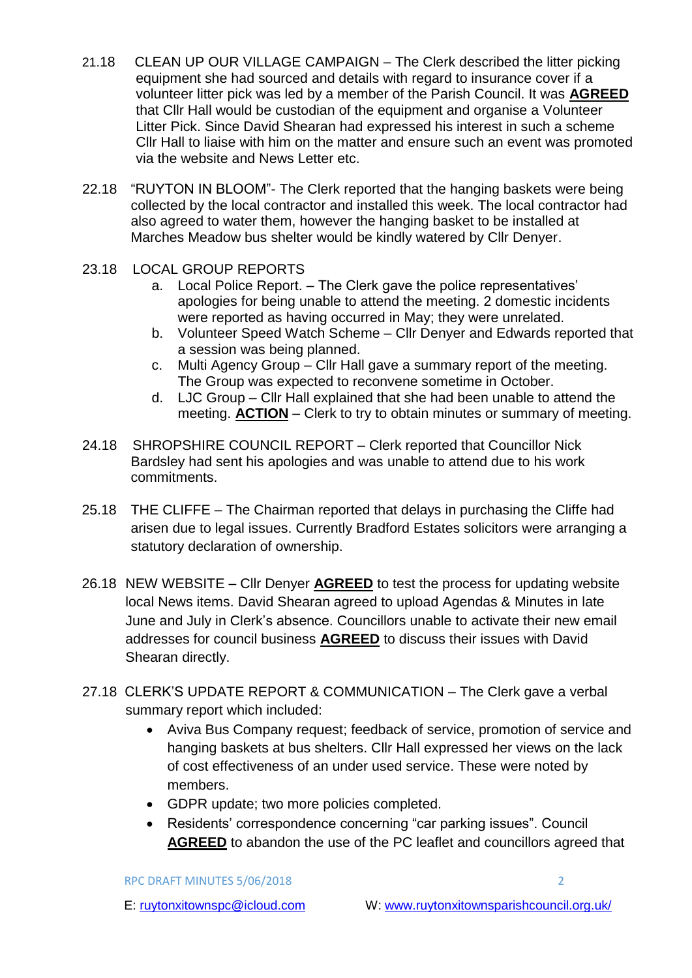- 21.18 CLEAN UP OUR VILLAGE CAMPAIGN The Clerk described the litter picking equipment she had sourced and details with regard to insurance cover if a volunteer litter pick was led by a member of the Parish Council. It was **AGREED** that Cllr Hall would be custodian of the equipment and organise a Volunteer Litter Pick. Since David Shearan had expressed his interest in such a scheme Cllr Hall to liaise with him on the matter and ensure such an event was promoted via the website and News Letter etc.
- 22.18 "RUYTON IN BLOOM"- The Clerk reported that the hanging baskets were being collected by the local contractor and installed this week. The local contractor had also agreed to water them, however the hanging basket to be installed at Marches Meadow bus shelter would be kindly watered by Cllr Denyer.
- 23.18 LOCAL GROUP REPORTS
	- a. Local Police Report. The Clerk gave the police representatives' apologies for being unable to attend the meeting. 2 domestic incidents were reported as having occurred in May; they were unrelated.
	- b. Volunteer Speed Watch Scheme Cllr Denyer and Edwards reported that a session was being planned.
	- c. Multi Agency Group Cllr Hall gave a summary report of the meeting. The Group was expected to reconvene sometime in October.
	- d. LJC Group Cllr Hall explained that she had been unable to attend the meeting. **ACTION** – Clerk to try to obtain minutes or summary of meeting.
- 24.18 SHROPSHIRE COUNCIL REPORT Clerk reported that Councillor Nick Bardsley had sent his apologies and was unable to attend due to his work commitments.
- 25.18 THE CLIFFE The Chairman reported that delays in purchasing the Cliffe had arisen due to legal issues. Currently Bradford Estates solicitors were arranging a statutory declaration of ownership.
- 26.18 NEW WEBSITE Cllr Denyer **AGREED** to test the process for updating website local News items. David Shearan agreed to upload Agendas & Minutes in late June and July in Clerk's absence. Councillors unable to activate their new email addresses for council business **AGREED** to discuss their issues with David Shearan directly.
- 27.18 CLERK'S UPDATE REPORT & COMMUNICATION The Clerk gave a verbal summary report which included:
	- Aviva Bus Company request; feedback of service, promotion of service and hanging baskets at bus shelters. Cllr Hall expressed her views on the lack of cost effectiveness of an under used service. These were noted by members.
	- GDPR update; two more policies completed.
	- Residents' correspondence concerning "car parking issues". Council **AGREED** to abandon the use of the PC leaflet and councillors agreed that

RPC DRAFT MINUTES 5/06/2018 2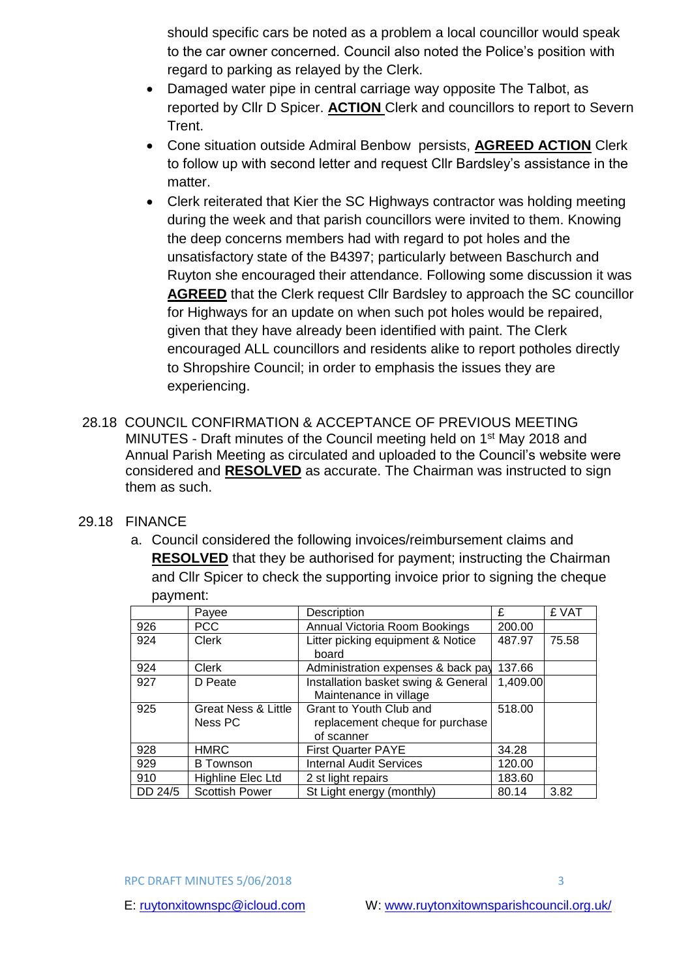should specific cars be noted as a problem a local councillor would speak to the car owner concerned. Council also noted the Police's position with regard to parking as relayed by the Clerk.

- Damaged water pipe in central carriage way opposite The Talbot, as reported by Cllr D Spicer. **ACTION** Clerk and councillors to report to Severn Trent.
- Cone situation outside Admiral Benbow persists, **AGREED ACTION** Clerk to follow up with second letter and request Cllr Bardsley's assistance in the matter.
- Clerk reiterated that Kier the SC Highways contractor was holding meeting during the week and that parish councillors were invited to them. Knowing the deep concerns members had with regard to pot holes and the unsatisfactory state of the B4397; particularly between Baschurch and Ruyton she encouraged their attendance. Following some discussion it was **AGREED** that the Clerk request Cllr Bardsley to approach the SC councillor for Highways for an update on when such pot holes would be repaired, given that they have already been identified with paint. The Clerk encouraged ALL councillors and residents alike to report potholes directly to Shropshire Council; in order to emphasis the issues they are experiencing.
- 28.18 COUNCIL CONFIRMATION & ACCEPTANCE OF PREVIOUS MEETING MINUTES - Draft minutes of the Council meeting held on 1st May 2018 and Annual Parish Meeting as circulated and uploaded to the Council's website were considered and **RESOLVED** as accurate. The Chairman was instructed to sign them as such.

#### 29.18 FINANCE

a. Council considered the following invoices/reimbursement claims and **RESOLVED** that they be authorised for payment; instructing the Chairman and Cllr Spicer to check the supporting invoice prior to signing the cheque payment:

|         | Payee                          | Description                         | £        | £ VAT |
|---------|--------------------------------|-------------------------------------|----------|-------|
| 926     | <b>PCC</b>                     | Annual Victoria Room Bookings       | 200.00   |       |
| 924     | Clerk                          | Litter picking equipment & Notice   | 487.97   | 75.58 |
|         |                                | board                               |          |       |
| 924     | Clerk                          | Administration expenses & back pay  | 137.66   |       |
| 927     | D Peate                        | Installation basket swing & General | 1,409.00 |       |
|         |                                | Maintenance in village              |          |       |
| 925     | <b>Great Ness &amp; Little</b> | Grant to Youth Club and             | 518.00   |       |
|         | Ness PC                        | replacement cheque for purchase     |          |       |
|         |                                | of scanner                          |          |       |
| 928     | <b>HMRC</b>                    | <b>First Quarter PAYE</b>           | 34.28    |       |
| 929     | <b>B</b> Townson               | <b>Internal Audit Services</b>      | 120.00   |       |
| 910     | Highline Elec Ltd              | 2 st light repairs                  | 183.60   |       |
| DD 24/5 | <b>Scottish Power</b>          | St Light energy (monthly)           | 80.14    | 3.82  |

RPC DRAFT MINUTES 5/06/2018 3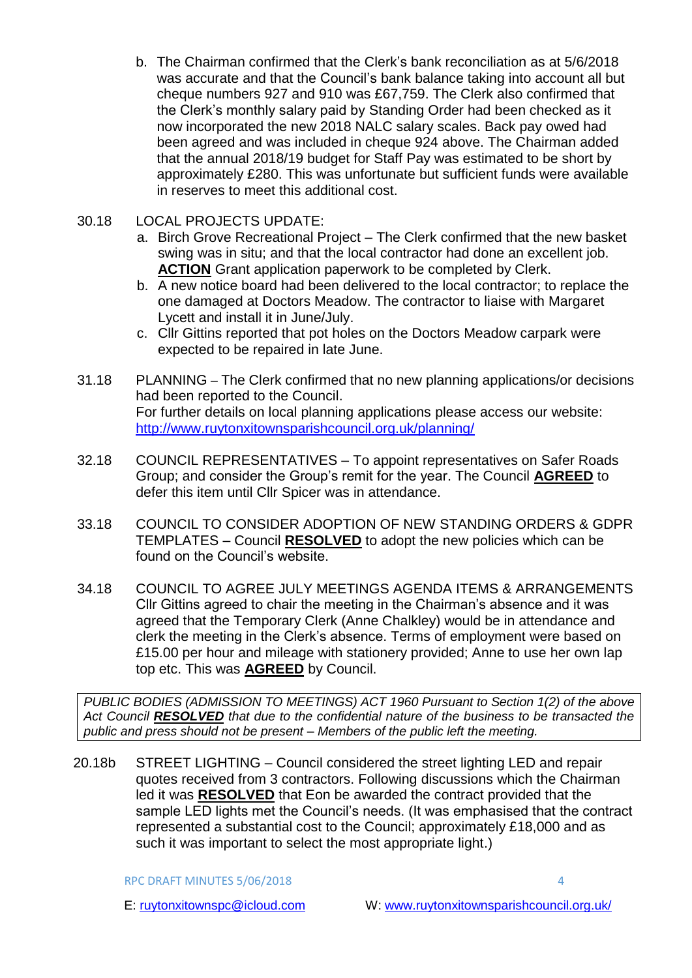b. The Chairman confirmed that the Clerk's bank reconciliation as at 5/6/2018 was accurate and that the Council's bank balance taking into account all but cheque numbers 927 and 910 was £67,759. The Clerk also confirmed that the Clerk's monthly salary paid by Standing Order had been checked as it now incorporated the new 2018 NALC salary scales. Back pay owed had been agreed and was included in cheque 924 above. The Chairman added that the annual 2018/19 budget for Staff Pay was estimated to be short by approximately £280. This was unfortunate but sufficient funds were available in reserves to meet this additional cost.

### 30.18 LOCAL PROJECTS UPDATE:

- a. Birch Grove Recreational Project The Clerk confirmed that the new basket swing was in situ; and that the local contractor had done an excellent job. **ACTION** Grant application paperwork to be completed by Clerk.
- b. A new notice board had been delivered to the local contractor; to replace the one damaged at Doctors Meadow. The contractor to liaise with Margaret Lycett and install it in June/July.
- c. Cllr Gittins reported that pot holes on the Doctors Meadow carpark were expected to be repaired in late June.
- 31.18 PLANNING The Clerk confirmed that no new planning applications/or decisions had been reported to the Council. For further details on local planning applications please access our website: <http://www.ruytonxitownsparishcouncil.org.uk/planning/>
- 32.18 COUNCIL REPRESENTATIVES To appoint representatives on Safer Roads Group; and consider the Group's remit for the year. The Council **AGREED** to defer this item until Cllr Spicer was in attendance.
- 33.18 COUNCIL TO CONSIDER ADOPTION OF NEW STANDING ORDERS & GDPR TEMPLATES – Council **RESOLVED** to adopt the new policies which can be found on the Council's website.
- 34.18 COUNCIL TO AGREE JULY MEETINGS AGENDA ITEMS & ARRANGEMENTS Cllr Gittins agreed to chair the meeting in the Chairman's absence and it was agreed that the Temporary Clerk (Anne Chalkley) would be in attendance and clerk the meeting in the Clerk's absence. Terms of employment were based on £15.00 per hour and mileage with stationery provided; Anne to use her own lap top etc. This was **AGREED** by Council.

*PUBLIC BODIES (ADMISSION TO MEETINGS) ACT 1960 Pursuant to Section 1(2) of the above Act Council RESOLVED that due to the confidential nature of the business to be transacted the public and press should not be present – Members of the public left the meeting.*

20.18b STREET LIGHTING – Council considered the street lighting LED and repair quotes received from 3 contractors. Following discussions which the Chairman led it was **RESOLVED** that Eon be awarded the contract provided that the sample LED lights met the Council's needs. (It was emphasised that the contract represented a substantial cost to the Council; approximately £18,000 and as such it was important to select the most appropriate light.)

RPC DRAFT MINUTES 5/06/2018 4